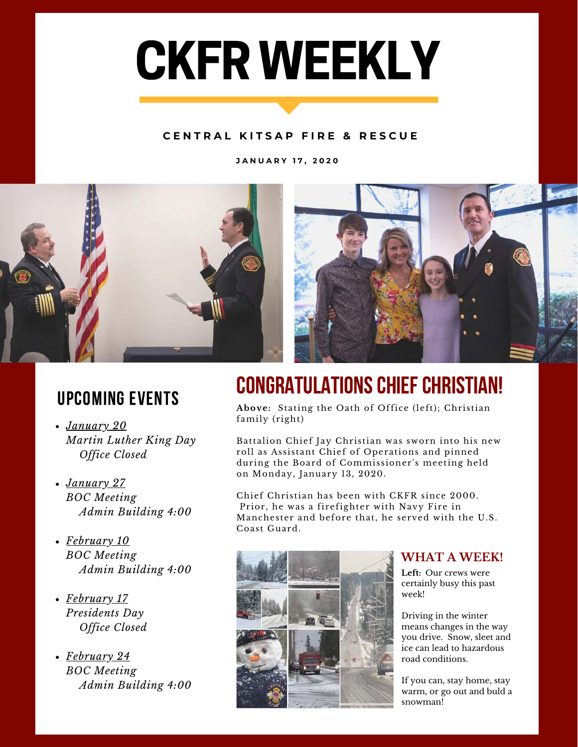# CKFR WEEKLY

#### **C E N T R A L K I T S A P F I R E & R E S C U E**

**J A N U A R Y 1 7 , 2 0 2 0**



### upcoming events

- *January 20 Martin Luther King Day Office Closed*
- *January 27 BOC Meeting Admin Building 4:00*
- *February 10 BOC Meeting Admin Building 4:00*
- *February 17 Presidents Day Office Closed*
- *February 24 BOC Meeting Admin Building 4:00*

## CONGRATULATIONS CHIEF CHRISTIAN!

**Above:** Stating the Oath of Office (left); Christian family (right)

Battalion Chief Jay Christian was sworn into his new roll as Assistant Chief of Operations and pinned during the Board of Commissioner's meeting held on Monday, January 13, 2020.

Chief Christian has been with CKFR since 2000. Prior, he was a firefighter with Navy Fire in Manchester and before that, he served with the U.S. Coast Guard.



#### **WHAT A WEEK!**

**Left:** Our crews were certainly busy this past week!

Driving in the winter means changes in the way you drive. Snow, sleet and ice can lead to hazardous road conditions.

If you can, stay home, stay warm, or go out and buld a snowman!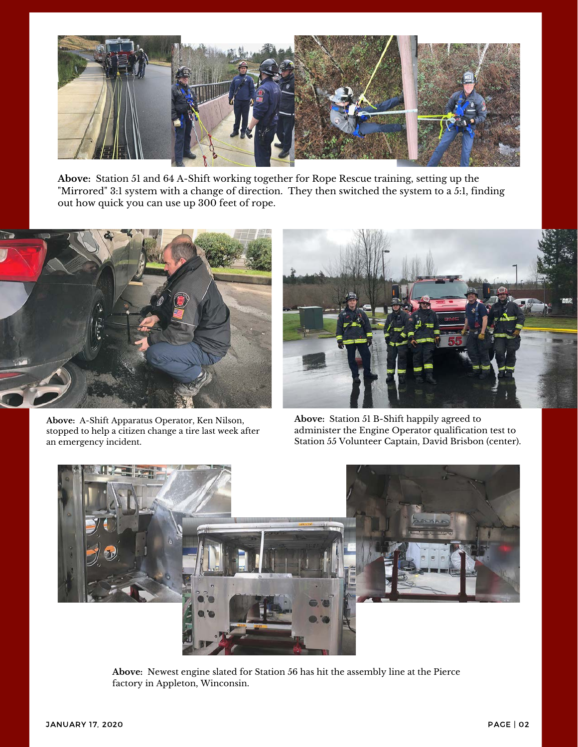

**Above:** Station 51 and 64 A-Shift working together for Rope Rescue training, setting up the "Mirrored" 3:1 system with a change of direction. They then switched the system to a 5:1, finding out how quick you can use up 300 feet of rope.



**Above:** A-Shift Apparatus Operator, Ken Nilson, stopped to help a citizen change a tire last week after an emergency incident.



**Above:** Station 51 B-Shift happily agreed to administer the Engine Operator qualification test to Station 55 Volunteer Captain, David Brisbon (center).



**Above:** Newest engine slated for Station 56 has hit the assembly line at the Pierce factory in Appleton, Winconsin.